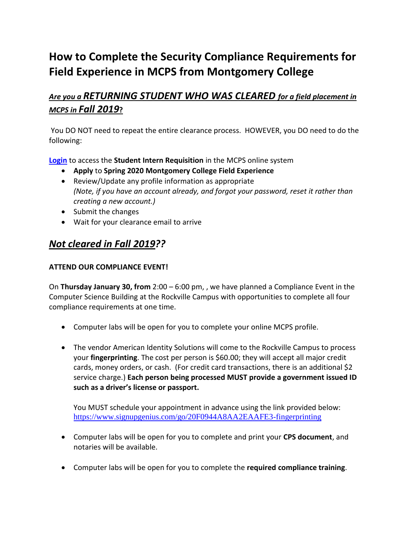# **How to Complete the Security Compliance Requirements for Field Experience in MCPS from Montgomery College**

## *Are you a RETURNING STUDENT WHO WAS CLEARED for a field placement in MCPS in Fall 2019***?**

You DO NOT need to repeat the entire clearance process. HOWEVER, you DO need to do the following:

**[Login](https://mcps.taleo.net/careersection/iam/accessmanagement/login.jsf?lang=en&redirectionURI=https%3A%2F%2Fmcps.taleo.net%2Fcareersection%2Fstudent%2Binterns%2Fjoblist.ftl%3Flang%3Den&TARGET=https%3A%2F%2Fmcps.taleo.net%2Fcareersection%2Fstudent%2Binterns%2Fjoblist.ftl%3Flang%3Den)** to access the **Student Intern Requisition** in the MCPS online system

- **Apply** to **Spring 2020 Montgomery College Field Experience**
- Review/Update any profile information as appropriate *(Note, if you have an account already, and forgot your password, reset it rather than creating a new account.)*
- Submit the changes
- Wait for your clearance email to arrive

### *Not cleared in Fall 2019??*

#### **ATTEND OUR COMPLIANCE EVENT!**

On **Thursday January 30, from** 2:00 – 6:00 pm, , we have planned a Compliance Event in the Computer Science Building at the Rockville Campus with opportunities to complete all four compliance requirements at one time.

- Computer labs will be open for you to complete your online MCPS profile.
- The vendor American Identity Solutions will come to the Rockville Campus to process your **fingerprinting**. The cost per person is \$60.00; they will accept all major credit cards, money orders, or cash. (For credit card transactions, there is an additional \$2 service charge.) **Each person being processed MUST provide a government issued ID such as a driver's license or passport.**

You MUST schedule your appointment in advance using the link provided below: <https://www.signupgenius.com/go/20F0944A8AA2EAAFE3-fingerprinting>

- Computer labs will be open for you to complete and print your **CPS document**, and notaries will be available.
- Computer labs will be open for you to complete the **required compliance training**.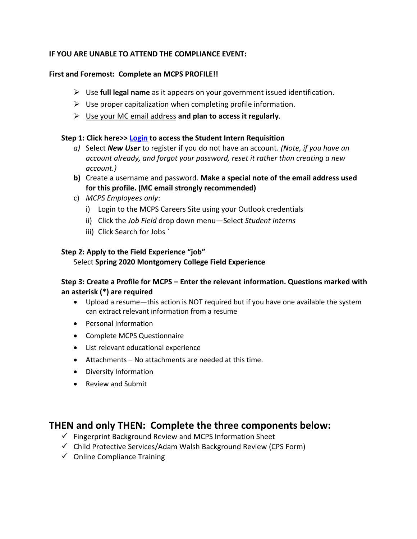#### **IF YOU ARE UNABLE TO ATTEND THE COMPLIANCE EVENT:**

#### **First and Foremost: Complete an MCPS PROFILE!!**

- Use **full legal name** as it appears on your government issued identification.
- $\triangleright$  Use proper capitalization when completing profile information.
- Use your MC email address **and plan to access it regularly**.

#### **Step 1: Click here>> [Login](https://mcps.taleo.net/careersection/iam/accessmanagement/login.jsf?lang=en&redirectionURI=https%3A%2F%2Fmcps.taleo.net%2Fcareersection%2Fstudent%2Binterns%2Fjoblist.ftl%3Flang%3Den&TARGET=https%3A%2F%2Fmcps.taleo.net%2Fcareersection%2Fstudent%2Binterns%2Fjoblist.ftl%3Flang%3Den) to access the Student Intern Requisition**

- *a)* Select *New User* to register if you do not have an account. *(Note, if you have an account already, and forgot your password, reset it rather than creating a new account.)*
- **b)** Create a username and password. **Make a special note of the email address used for this profile. (MC email strongly recommended)**
- c) *MCPS Employees only*:
	- i) Login to the MCPS Careers Site using your Outlook credentials
	- ii) Click the *Job Field* drop down menu—Select *Student Interns*
	- iii) Click Search for Jobs `

#### **Step 2: Apply to the Field Experience "job"**

#### Select **Spring 2020 Montgomery College Field Experience**

#### **Step 3: Create a Profile for MCPS – Enter the relevant information. Questions marked with an asterisk (\*) are required**

- Upload a resume—this action is NOT required but if you have one available the system can extract relevant information from a resume
- Personal Information
- Complete MCPS Questionnaire
- List relevant educational experience
- Attachments No attachments are needed at this time.
- Diversity Information
- Review and Submit

### **THEN and only THEN: Complete the three components below:**

- $\checkmark$  Fingerprint Background Review and MCPS Information Sheet
- $\checkmark$  Child Protective Services/Adam Walsh Background Review (CPS Form)
- $\checkmark$  Online Compliance Training